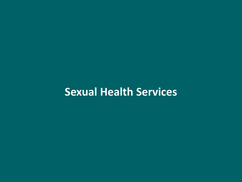# **Sexual Health Services**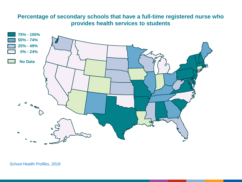## **Percentage of secondary schools that have a full-time registered nurse who provides health services to students**

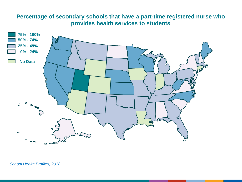## **Percentage of secondary schools that have a part-time registered nurse who provides health services to students**

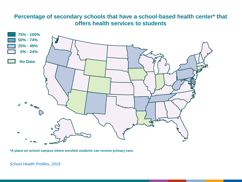## **Percentage of secondary schools that have a school-based health center\* that offers health services to students**



**\*A place on school campus where enrolled students can receive primary care.**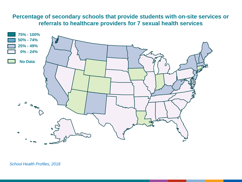## **Percentage of secondary schools that provide students with on-site services or referrals to healthcare providers for 7 sexual health services**

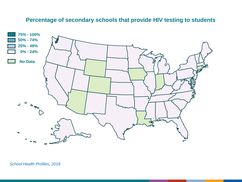## **Percentage of secondary schools that provide HIV testing to students**

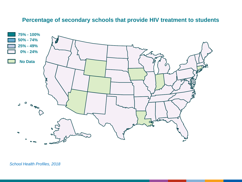#### **Percentage of secondary schools that provide HIV treatment to students**

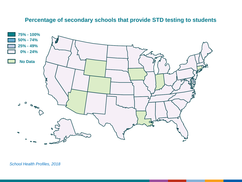#### **Percentage of secondary schools that provide STD testing to students**

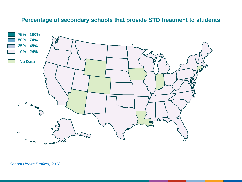#### **Percentage of secondary schools that provide STD treatment to students**

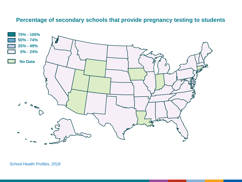## **Percentage of secondary schools that provide pregnancy testing to students**

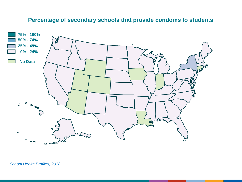#### **Percentage of secondary schools that provide condoms to students**

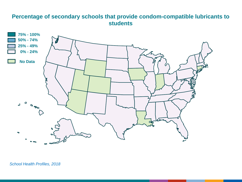#### **Percentage of secondary schools that provide condom-compatible lubricants to students**

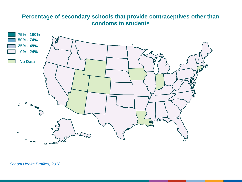#### **Percentage of secondary schools that provide contraceptives other than condoms to students**

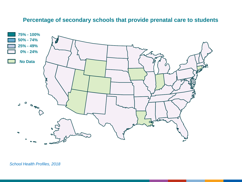#### **Percentage of secondary schools that provide prenatal care to students**

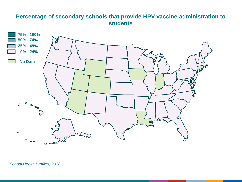## **Percentage of secondary schools that provide HPV vaccine administration to students**

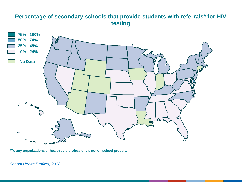## **Percentage of secondary schools that provide students with referrals\* for HIV testing**



**\*To any organizations or health care professionals not on school property.**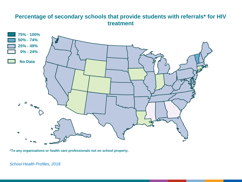#### **Percentage of secondary schools that provide students with referrals\* for HIV treatment**



**\*To any organizations or health care professionals not on school property.**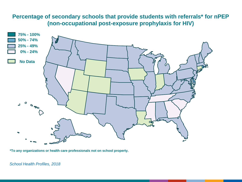## **Percentage of secondary schools that provide students with referrals\* for nPEP (non-occupational post-exposure prophylaxis for HIV)**



**\*To any organizations or health care professionals not on school property.**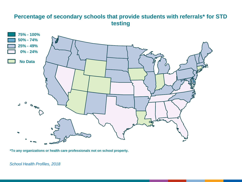## **Percentage of secondary schools that provide students with referrals\* for STD testing**



**\*To any organizations or health care professionals not on school property.**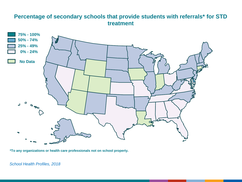#### **Percentage of secondary schools that provide students with referrals\* for STD treatment**



**\*To any organizations or health care professionals not on school property.**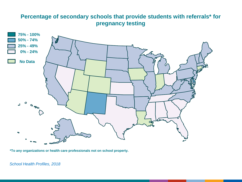## **Percentage of secondary schools that provide students with referrals\* for pregnancy testing**



**\*To any organizations or health care professionals not on school property.**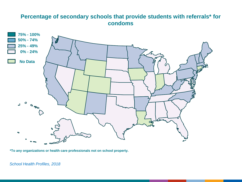#### **Percentage of secondary schools that provide students with referrals\* for condoms**



**\*To any organizations or health care professionals not on school property.**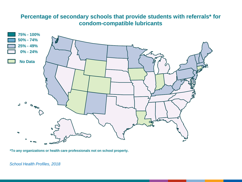## **Percentage of secondary schools that provide students with referrals\* for condom-compatible lubricants**



**\*To any organizations or health care professionals not on school property.**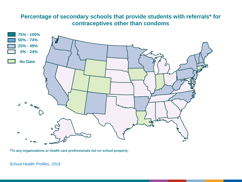## **Percentage of secondary schools that provide students with referrals\* for contraceptives other than condoms**



**\*To any organizations or health care professionals not on school property.**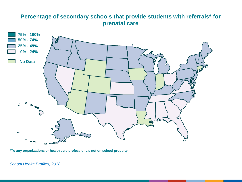## **Percentage of secondary schools that provide students with referrals\* for prenatal care**



**\*To any organizations or health care professionals not on school property.**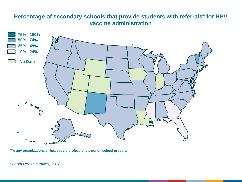## **Percentage of secondary schools that provide students with referrals\* for HPV vaccine administration**



**\*To any organizations or health care professionals not on school property.**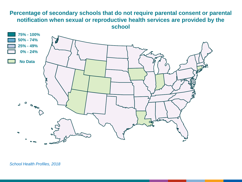#### **Percentage of secondary schools that do not require parental consent or parental notification when sexual or reproductive health services are provided by the school**